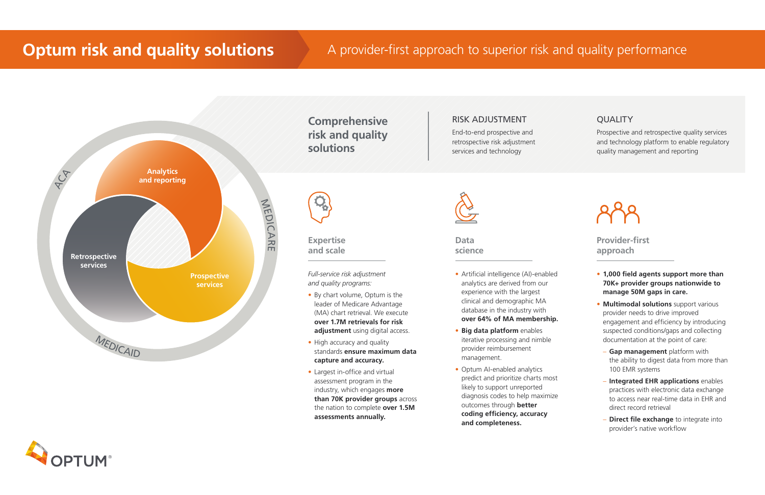**Data science**

# RISK ADJUSTMENT

End-to-end prospective and retrospective risk adjustment services and technology



Prospective and retrospective quality services and technology platform to enable regulatory quality management and reporting



**Comprehensive risk and quality solutions**

*Full-service risk adjustment and quality programs:*

- By chart volume, Optum is the leader of Medicare Advantage (MA) chart retrieval. We execute **over 1.7M retrievals for risk adjustment** using digital access.
- High accuracy and quality standards **ensure maximum data capture and accuracy.**
- Largest in-office and virtual assessment program in the industry, which engages **more than 70K provider groups** across the nation to complete **over 1.5M assessments annually.**



- Artificial intelligence (AI)-enabled analytics are derived from our experience with the largest clinical and demographic MA database in the industry with **over 64% of MA membership.**
- **• Big data platform** enables iterative processing and nimble provider reimbursement management.
- Optum AI-enabled analytics predict and prioritize charts most likely to support unreported diagnosis codes to help maximize outcomes through **better coding efficiency, accuracy and completeness.**



# **QUALITY**

- **• 1,000 field agents support more than 70K+ provider groups nationwide to manage 50M gaps in care.**
- **• Multimodal solutions** support various provider needs to drive improved engagement and efficiency by introducing suspected conditions/gaps and collecting documentation at the point of care:
- **Gap management** platform with the ability to digest data from more than 100 EMR systems
- **Integrated EHR applications** enables practices with electronic data exchange to access near real-time data in EHR and direct record retrieval
- **Direct file exchange** to integrate into provider's native workflow

**Expertise and scale** **Provider-first approach**

# **Optum risk and quality solutions** A provider-first approach to superior risk and quality performance